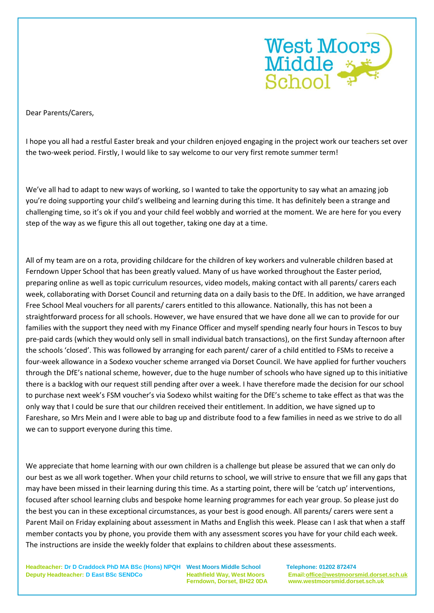

Dear Parents/Carers,

I hope you all had a restful Easter break and your children enjoyed engaging in the project work our teachers set over the two-week period. Firstly, I would like to say welcome to our very first remote summer term!

We've all had to adapt to new ways of working, so I wanted to take the opportunity to say what an amazing job you're doing supporting your child's wellbeing and learning during this time. It has definitely been a strange and challenging time, so it's ok if you and your child feel wobbly and worried at the moment. We are here for you every step of the way as we figure this all out together, taking one day at a time.

All of my team are on a rota, providing childcare for the children of key workers and vulnerable children based at Ferndown Upper School that has been greatly valued. Many of us have worked throughout the Easter period, preparing online as well as topic curriculum resources, video models, making contact with all parents/ carers each week, collaborating with Dorset Council and returning data on a daily basis to the DfE. In addition, we have arranged Free School Meal vouchers for all parents/ carers entitled to this allowance. Nationally, this has not been a straightforward process for all schools. However, we have ensured that we have done all we can to provide for our families with the support they need with my Finance Officer and myself spending nearly four hours in Tescos to buy pre-paid cards (which they would only sell in small individual batch transactions), on the first Sunday afternoon after the schools 'closed'. This was followed by arranging for each parent/ carer of a child entitled to FSMs to receive a four-week allowance in a Sodexo voucher scheme arranged via Dorset Council. We have applied for further vouchers through the DfE's national scheme, however, due to the huge number of schools who have signed up to this initiative there is a backlog with our request still pending after over a week. I have therefore made the decision for our school to purchase next week's FSM voucher's via Sodexo whilst waiting for the DfE's scheme to take effect as that was the only way that I could be sure that our children received their entitlement. In addition, we have signed up to Fareshare, so Mrs Mein and I were able to bag up and distribute food to a few families in need as we strive to do all we can to support everyone during this time.

We appreciate that home learning with our own children is a challenge but please be assured that we can only do our best as we all work together. When your child returns to school, we will strive to ensure that we fill any gaps that may have been missed in their learning during this time. As a starting point, there will be 'catch up' interventions, focused after school learning clubs and bespoke home learning programmes for each year group. So please just do the best you can in these exceptional circumstances, as your best is good enough. All parents/ carers were sent a Parent Mail on Friday explaining about assessment in Maths and English this week. Please can I ask that when a staff member contacts you by phone, you provide them with any assessment scores you have for your child each week. The instructions are inside the weekly folder that explains to children about these assessments.

**Headteacher: Dr D Craddock PhD MA BSc (Hons) NPQH West Moors Middle School Telephone: 01202 872474 Deputy Headteacher: D East BSc SENDCo Heathfield Way, West Moors Email[:office@westmoorsmid.dorset.sch.uk](mailto:office@westmoorsmid.dorset.sch.uk)**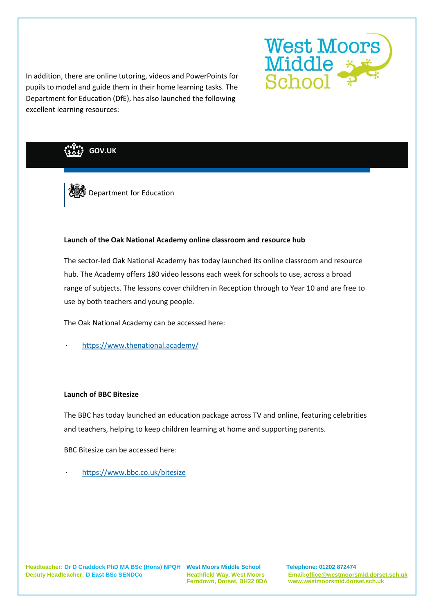

In addition, there are online tutoring, videos and PowerPoints for pupils to model and guide them in their home learning tasks. The Department for Education (DfE), has also launched the following excellent learning resources:

**GOV.UK**



### **Launch of the Oak National Academy online classroom and resource hub**

The sector-led Oak National Academy has today launched its online classroom and resource hub. The Academy offers 180 video lessons each week for schools to use, across a broad range of subjects. The lessons cover children in Reception through to Year 10 and are free to use by both teachers and young people.

The Oak National Academy can be accessed here:

· <https://www.thenational.academy/>

# **Launch of BBC Bitesize**

The BBC has today launched an education package across TV and online, featuring celebrities and teachers, helping to keep children learning at home and supporting parents.

BBC Bitesize can be accessed here:

<https://www.bbc.co.uk/bitesize>

**Headteacher: Dr D Craddock PhD MA BSc (Hons) NPQH West Moors Middle School Telephone: 01202 872474 Deputy Headteacher: D East BSc SENDCo Heathfield Way, West Moors Email[:office@westmoorsmid.dorset.sch.uk](mailto:office@westmoorsmid.dorset.sch.uk)**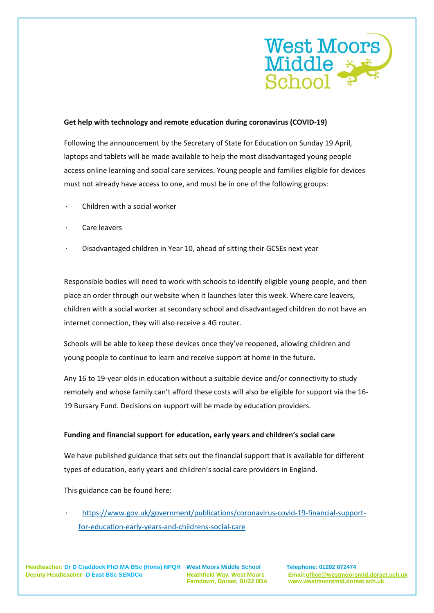

### **Get help with technology and remote education during coronavirus (COVID-19)**

Following the announcement by the Secretary of State for Education on Sunday 19 April, laptops and tablets will be made available to help the most disadvantaged young people access online learning and social care services. Young people and families eligible for devices must not already have access to one, and must be in one of the following groups:

- · Children with a social worker
- Care leavers
- · Disadvantaged children in Year 10, ahead of sitting their GCSEs next year

Responsible bodies will need to work with schools to identify eligible young people, and then place an order through our website when it launches later this week. Where care leavers, children with a social worker at secondary school and disadvantaged children do not have an internet connection, they will also receive a 4G router.

Schools will be able to keep these devices once they've reopened, allowing children and young people to continue to learn and receive support at home in the future.

Any 16 to 19-year olds in education without a suitable device and/or connectivity to study remotely and whose family can't afford these costs will also be eligible for support via the 16- 19 Bursary Fund. Decisions on support will be made by education providers.

#### **Funding and financial support for education, early years and children's social care**

We have published guidance that sets out the financial support that is available for different types of education, early years and children's social care providers in England.

This guidance can be found here:

[https://www.gov.uk/government/publications/coronavirus-covid-19-financial-support](https://www.gov.uk/government/publications/coronavirus-covid-19-financial-support-for-education-early-years-and-childrens-social-care)[for-education-early-years-and-childrens-social-care](https://www.gov.uk/government/publications/coronavirus-covid-19-financial-support-for-education-early-years-and-childrens-social-care)

**Headteacher: Dr D Craddock PhD MA BSc (Hons) NPQH West Moors Middle School Telephone: 01202 872474 Deputy Headteacher: D East BSc SENDCo Heathfield Way, West Moors Email[:office@westmoorsmid.dorset.sch.uk](mailto:office@westmoorsmid.dorset.sch.uk)**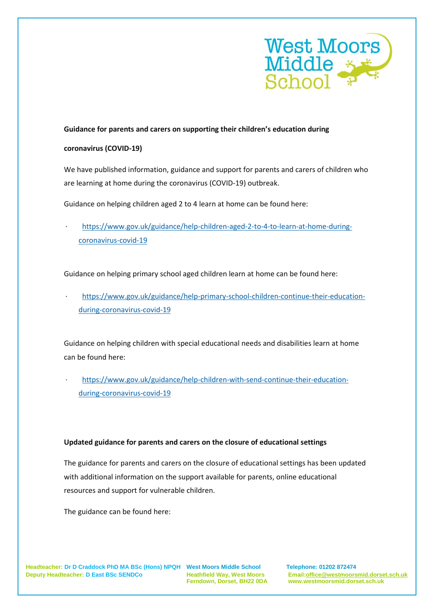

# **Guidance for parents and carers on supporting their children's education during**

### **coronavirus (COVID-19)**

We have published information, guidance and support for parents and carers of children who are learning at home during the coronavirus (COVID-19) outbreak.

Guidance on helping children aged 2 to 4 learn at home can be found here:

· [https://www.gov.uk/guidance/help-children-aged-2-to-4-to-learn-at-home-during](https://www.gov.uk/guidance/help-children-aged-2-to-4-to-learn-at-home-during-coronavirus-covid-19)[coronavirus-covid-19](https://www.gov.uk/guidance/help-children-aged-2-to-4-to-learn-at-home-during-coronavirus-covid-19)

Guidance on helping primary school aged children learn at home can be found here:

· [https://www.gov.uk/guidance/help-primary-school-children-continue-their-education](https://www.gov.uk/guidance/help-primary-school-children-continue-their-education-during-coronavirus-covid-19)[during-coronavirus-covid-19](https://www.gov.uk/guidance/help-primary-school-children-continue-their-education-during-coronavirus-covid-19)

Guidance on helping children with special educational needs and disabilities learn at home can be found here:

· [https://www.gov.uk/guidance/help-children-with-send-continue-their-education](https://www.gov.uk/guidance/help-children-with-send-continue-their-education-during-coronavirus-covid-19)[during-coronavirus-covid-19](https://www.gov.uk/guidance/help-children-with-send-continue-their-education-during-coronavirus-covid-19)

### **Updated guidance for parents and carers on the closure of educational settings**

The guidance for parents and carers on the closure of educational settings has been updated with additional information on the support available for parents, online educational resources and support for vulnerable children.

The guidance can be found here:

**Headteacher: Dr D Craddock PhD MA BSc (Hons) NPQH West Moors Middle School Telephone: 01202 872474 Deputy Headteacher: D East BSc SENDCo Heathfield Way, West Moors Email[:office@westmoorsmid.dorset.sch.uk](mailto:office@westmoorsmid.dorset.sch.uk)**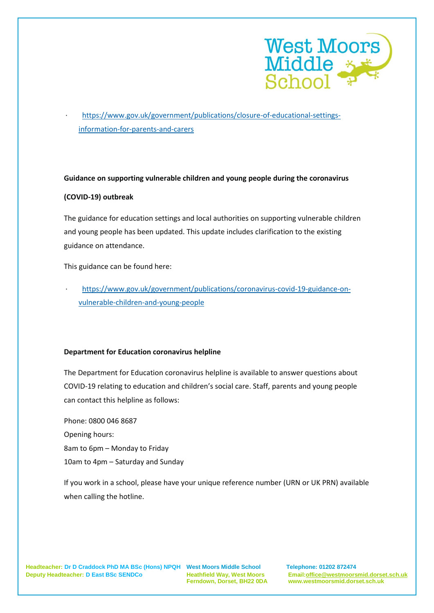

[https://www.gov.uk/government/publications/closure-of-educational-settings](https://www.gov.uk/government/publications/closure-of-educational-settings-information-for-parents-and-carers)[information-for-parents-and-carers](https://www.gov.uk/government/publications/closure-of-educational-settings-information-for-parents-and-carers)

### **Guidance on supporting vulnerable children and young people during the coronavirus**

# **(COVID-19) outbreak**

The guidance for education settings and local authorities on supporting vulnerable children and young people has been updated. This update includes clarification to the existing guidance on attendance.

This guidance can be found here:

· [https://www.gov.uk/government/publications/coronavirus-covid-19-guidance-on](https://www.gov.uk/government/publications/coronavirus-covid-19-guidance-on-vulnerable-children-and-young-people)[vulnerable-children-and-young-people](https://www.gov.uk/government/publications/coronavirus-covid-19-guidance-on-vulnerable-children-and-young-people)

# **Department for Education coronavirus helpline**

The Department for Education coronavirus helpline is available to answer questions about COVID-19 relating to education and children's social care. Staff, parents and young people can contact this helpline as follows:

Phone: 0800 046 8687 Opening hours: 8am to 6pm – Monday to Friday 10am to 4pm – Saturday and Sunday

If you work in a school, please have your unique reference number (URN or UK PRN) available when calling the hotline.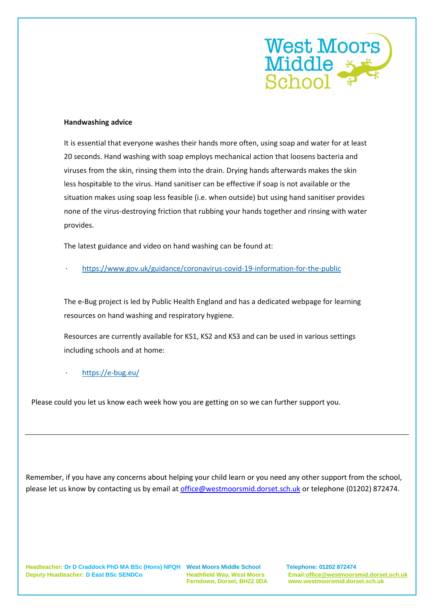

#### **Handwashing advice**

It is essential that everyone washes their hands more often, using soap and water for at least 20 seconds. Hand washing with soap employs mechanical action that loosens bacteria and viruses from the skin, rinsing them into the drain. Drying hands afterwards makes the skin less hospitable to the virus. Hand sanitiser can be effective if soap is not available or the situation makes using soap less feasible (i.e. when outside) but using hand sanitiser provides none of the virus-destroying friction that rubbing your hands together and rinsing with water provides.

The latest guidance and video on hand washing can be found at:

· <https://www.gov.uk/guidance/coronavirus-covid-19-information-for-the-public>

The e-Bug project is led by Public Health England and has a dedicated webpage for learning resources on hand washing and respiratory hygiene.

Resources are currently available for KS1, KS2 and KS3 and can be used in various settings including schools and at home:

· <https://e-bug.eu/>

Please could you let us know each week how you are getting on so we can further support you.

Remember, if you have any concerns about helping your child learn or you need any other support from the school, please let us know by contacting us by email a[t office@westmoorsmid.dorset.sch.uk](mailto:office@westmoorsmid.dorset.sch.uk) or telephone (01202) 872474.

**Headteacher: Dr D Craddock PhD MA BSc (Hons) NPQH West Moors Middle School Telephone: 01202 872474 Deputy Headteacher: D East BSc SENDCo Heathfield Way, West Moors Email[:office@westmoorsmid.dorset.sch.uk](mailto:office@westmoorsmid.dorset.sch.uk)**